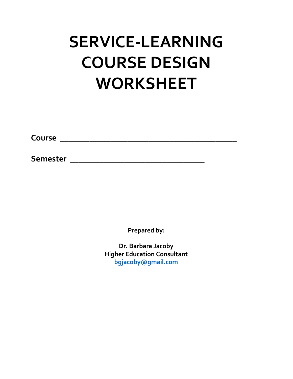# **SERVICE-LEARNING COURSE DESIGN WORKSHEET**

**Course \_\_\_\_\_\_\_\_\_\_\_\_\_\_\_\_\_\_\_\_\_\_\_\_\_\_\_\_\_\_\_\_\_\_\_\_\_\_\_\_\_\_**

**Semester \_\_\_\_\_\_\_\_\_\_\_\_\_\_\_\_\_\_\_\_\_\_\_\_\_\_\_\_\_\_\_\_**

**Prepared by:**

**Dr. Barbara Jacoby Higher Education Consultant [bgjacoby@gmail.com](mailto:bgjacoby@gmail.com)**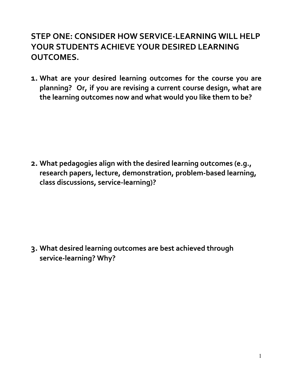# **STEP ONE: CONSIDER HOW SERVICE-LEARNING WILL HELP YOUR STUDENTS ACHIEVE YOUR DESIRED LEARNING OUTCOMES.**

**1. What are your desired learning outcomes for the course you are planning? Or, if you are revising a current course design, what are the learning outcomes now and what would you like them to be?**

**2. What pedagogies align with the desired learning outcomes (e.g., research papers, lecture, demonstration, problem-based learning, class discussions, service-learning)?**

**3. What desired learning outcomes are best achieved through service-learning? Why?**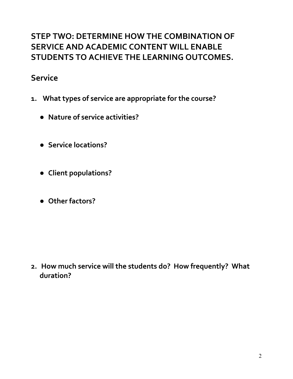# **STEP TWO: DETERMINE HOW THE COMBINATION OF SERVICE AND ACADEMIC CONTENT WILL ENABLE STUDENTS TO ACHIEVE THE LEARNING OUTCOMES.**

## **Service**

- **1. What types of service are appropriate for the course?**
	- **● Nature of service activities?**
	- **● Service locations?**
	- **● Client populations?**
	- **● Other factors?**

**2. How much service will the students do? How frequently? What duration?**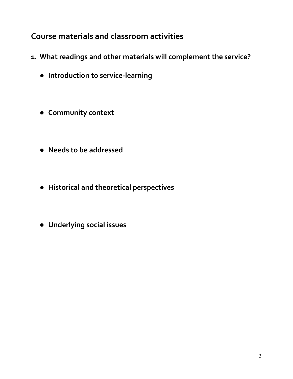# **Course materials and classroom activities**

- **1. What readings and other materials will complement the service?**
	- **● Introduction to service-learning**
	- **● Community context**
	- **● Needs to be addressed**
	- **● Historical and theoretical perspectives**
	- **● Underlying social issues**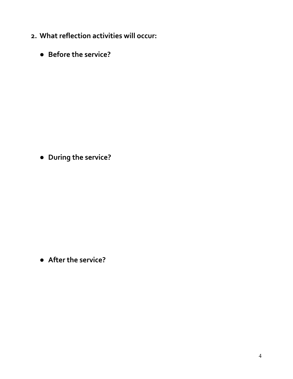- **2. What reflection activities will occur:**
	- **● Before the service?**

**● During the service?**

**● After the service?**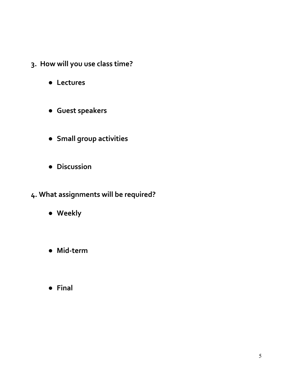- **3. How will you use class time?**
	- **● Lectures**
	- **● Guest speakers**
	- **● Small group activities**
	- **● Discussion**
- **4. What assignments will be required?**
	- **● Weekly**
	- **● Mid-term**
	- **● Final**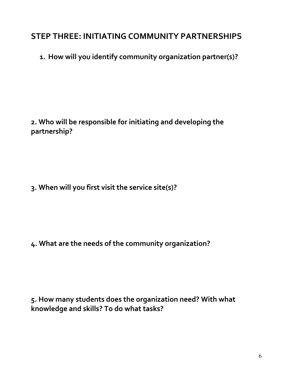### **STEP THREE: INITIATING COMMUNITY PARTNERSHIPS**

**1. How will you identify community organization partner(s)?**

**2. Who will be responsible for initiating and developing the partnership?**

**3. When will you first visit the service site(s)?**

**4. What are the needs of the community organization?**

**5. How many students does the organization need? With what knowledge and skills? To do what tasks?**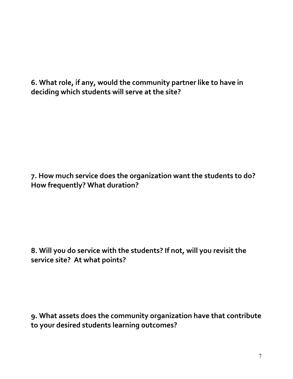**6. What role, if any, would the community partner like to have in deciding which students will serve at the site?**

**7. How much service does the organization want the students to do? How frequently? What duration?**

**8. Will you do service with the students? If not, will you revisit the service site? At what points?**

**9. What assets does the community organization have that contribute to your desired students learning outcomes?**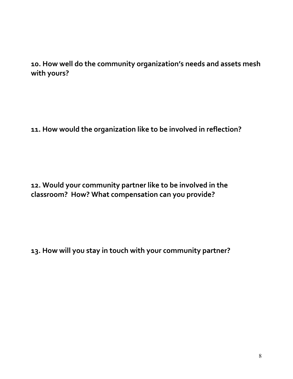#### **10. How well do the community organization's needs and assets mesh with yours?**

**11. How would the organization like to be involved in reflection?**

**12. Would your community partner like to be involved in the classroom? How? What compensation can you provide?**

**13. How will you stay in touch with your community partner?**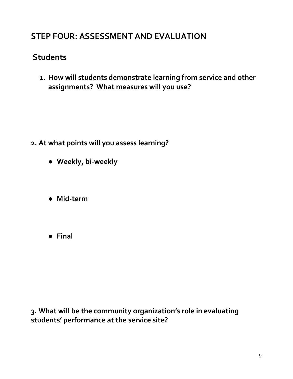## **STEP FOUR: ASSESSMENT AND EVALUATION**

# **Students**

**1. How will students demonstrate learning from service and other assignments? What measures will you use?**

- **2. At what points will you assess learning?**
	- **● Weekly, bi-weekly**
	- **● Mid-term**
	- **● Final**

**3. What will be the community organization's role in evaluating students' performance at the service site?**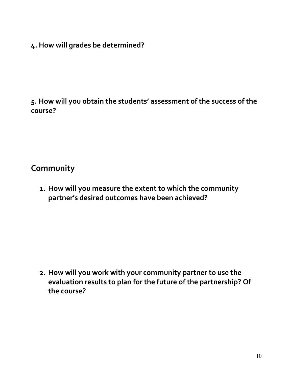**4. How will grades be determined?**

**5. How will you obtain the students' assessment of the success of the course?**

#### **Community**

**1. How will you measure the extent to which the community partner's desired outcomes have been achieved?**

**2. How will you work with your community partner to use the evaluation results to plan for the future of the partnership? Of the course?**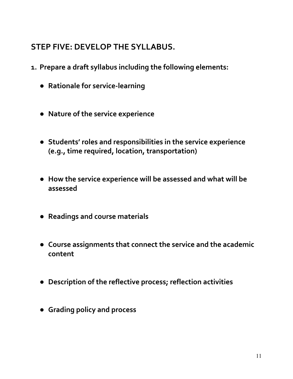# **STEP FIVE: DEVELOP THE SYLLABUS.**

- **1. Prepare a draft syllabus including the following elements:**
	- **● Rationale for service-learning**
	- **● Nature of the service experience**
	- **● Students' roles and responsibilities in the service experience (e.g., time required, location, transportation)**
	- **● How the service experience will be assessed and what will be assessed**
	- **● Readings and course materials**
	- **● Course assignments that connect the service and the academic content**
	- **● Description of the reflective process; reflection activities**
	- **● Grading policy and process**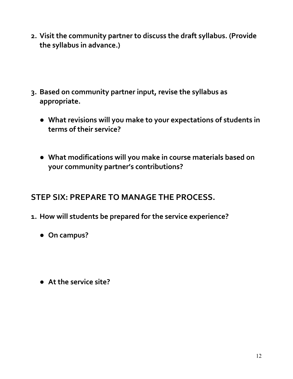- **2. Visit the community partner to discuss the draft syllabus. (Provide the syllabus in advance.)**
- **3. Based on community partner input, revise the syllabus as appropriate.**
	- **● What revisions will you make to your expectations of students in terms of their service?**
	- **● What modifications will you make in course materials based on your community partner's contributions?**

## **STEP SIX: PREPARE TO MANAGE THE PROCESS.**

- **1. How will students be prepared for the service experience?**
	- **● On campus?**
	- **● At the service site?**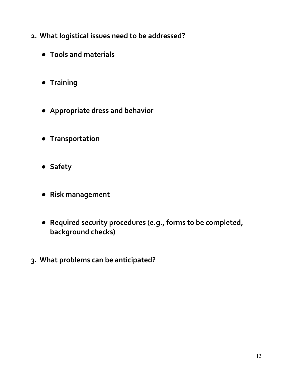- **2. What logistical issues need to be addressed?**
	- **● Tools and materials**
	- **● Training**
	- **● Appropriate dress and behavior**
	- **● Transportation**
	- **● Safety**
	- **● Risk management**
	- **● Required security procedures (e.g., forms to be completed, background checks)**
- **3. What problems can be anticipated?**